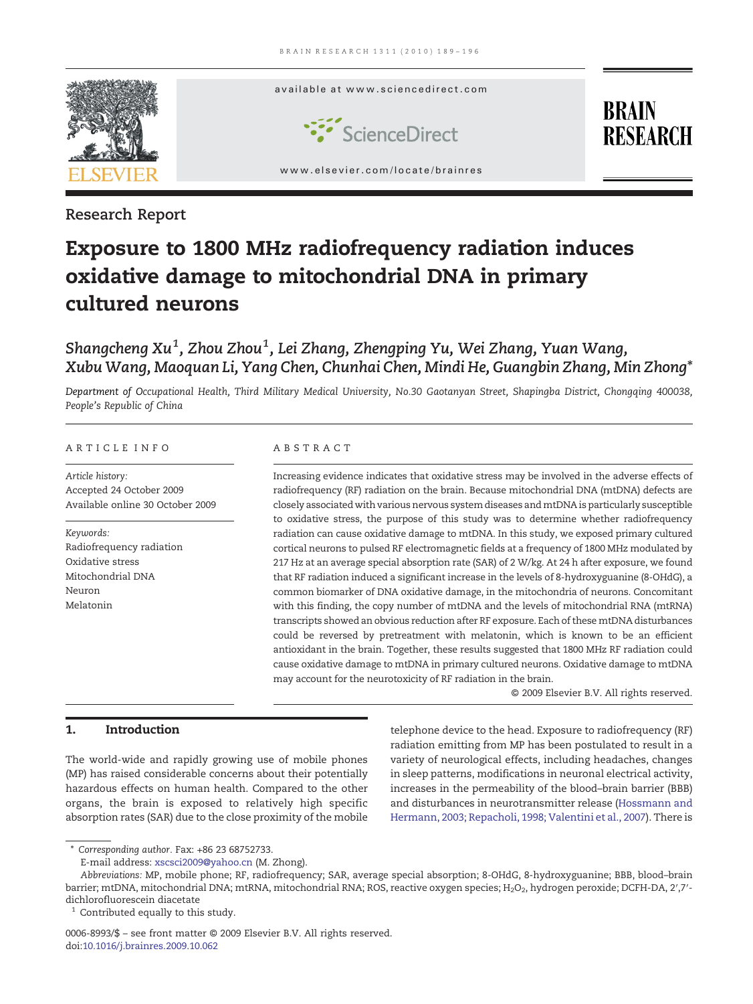

Research Report

# Exposure to 1800 MHz radiofrequency radiation induces oxidative damage to mitochondrial DNA in primary cultured neurons

## Shangcheng Xu $^1$ , Zhou Zhou $^1$ , Lei Zhang, Zhengping Yu, Wei Zhang, Yuan Wang, Xubu Wang, Maoquan Li, Yang Chen, Chunhai Chen, Mindi He, Guangbin Zhang, Min Zhong<sup>\*</sup>

Department of Occupational Health, Third Military Medical University, No.30 Gaotanyan Street, Shapingba District, Chongqing 400038, People's Republic of China

#### ARTICLE INFO ABSTRACT

Article history: Accepted 24 October 2009 Available online 30 October 2009

Keywords: Radiofrequency radiation Oxidative stress Mitochondrial DNA Neuron Melatonin

Increasing evidence indicates that oxidative stress may be involved in the adverse effects of radiofrequency (RF) radiation on the brain. Because mitochondrial DNA (mtDNA) defects are closely associated with various nervous system diseases andmtDNA is particularly susceptible to oxidative stress, the purpose of this study was to determine whether radiofrequency radiation can cause oxidative damage to mtDNA. In this study, we exposed primary cultured cortical neurons to pulsed RF electromagnetic fields at a frequency of 1800 MHz modulated by 217 Hz at an average special absorption rate (SAR) of 2 W/kg. At 24 h after exposure, we found that RF radiation induced a significant increase in the levels of 8-hydroxyguanine (8-OHdG), a common biomarker of DNA oxidative damage, in the mitochondria of neurons. Concomitant with this finding, the copy number of mtDNA and the levels of mitochondrial RNA (mtRNA) transcripts showed an obvious reduction after RF exposure. Each of these mtDNA disturbances could be reversed by pretreatment with melatonin, which is known to be an efficient antioxidant in the brain. Together, these results suggested that 1800 MHz RF radiation could cause oxidative damage to mtDNA in primary cultured neurons. Oxidative damage to mtDNA may account for the neurotoxicity of RF radiation in the brain.

© 2009 Elsevier B.V. All rights reserved.

### 1. Introduction

The world-wide and rapidly growing use of mobile phones (MP) has raised considerable concerns about their potentially hazardous effects on human health. Compared to the other organs, the brain is exposed to relatively high specific absorption rates (SAR) due to the close proximity of the mobile

telephone device to the head. Exposure to radiofrequency (RF) radiation emitting from MP has been postulated to result in a variety of neurological effects, including headaches, changes in sleep patterns, modifications in neuronal electrical activity, increases in the permeability of the blood–brain barrier (BBB) and disturbances in neurotransmitter release [\(Hossmann and](#page-6-0) [Hermann, 2003; Repacholi, 1998; Valentini et al., 2007\)](#page-6-0). There is

⁎ Corresponding author. Fax: +86 23 68752733.

E-mail address: [xscsci2009@yahoo.cn](mailto:xscsci2009@yahoo.cn) (M. Zhong).

Abbreviations: MP, mobile phone; RF, radiofrequency; SAR, average special absorption; 8-OHdG, 8-hydroxyguanine; BBB, blood–brain barrier; mtDNA, mitochondrial DNA; mtRNA, mitochondrial RNA; ROS, reactive oxygen species; H<sub>2</sub>O<sub>2</sub>, hydrogen peroxide; DCFH-DA, 2',7'dichlorofluorescein diacetate

 $1$  Contributed equally to this study.

<sup>0006-8993/\$</sup> – see front matter © 2009 Elsevier B.V. All rights reserved. doi[:10.1016/j.brainres.2009.10.062](http://dx.doi.org/10.1016/j.brainres.2009.10.062)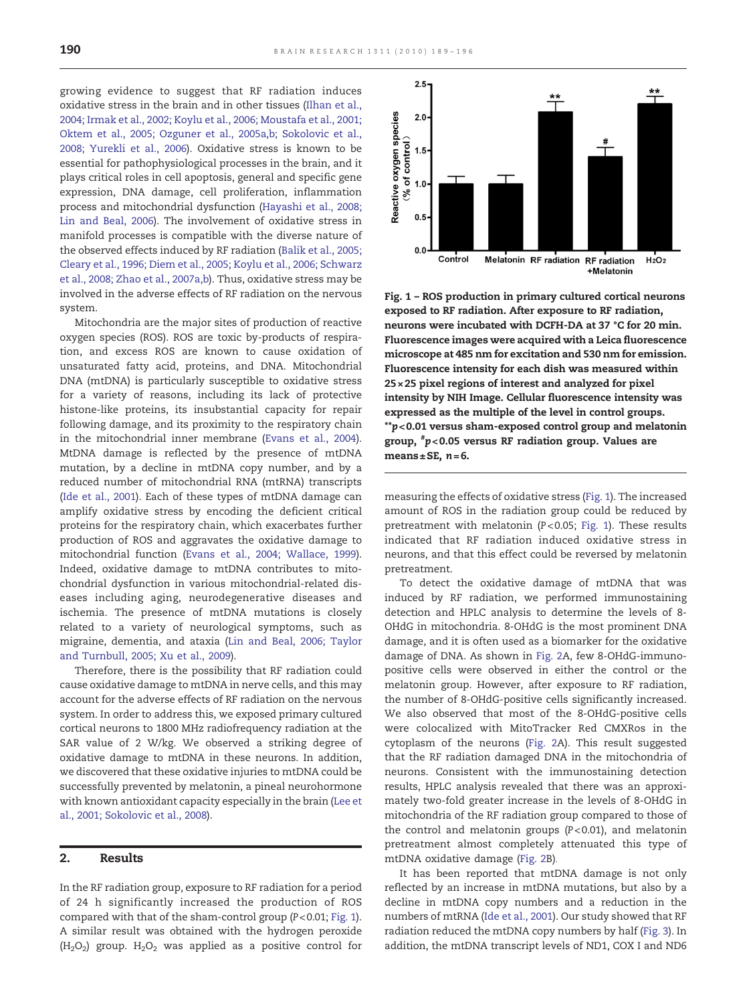growing evidence to suggest that RF radiation induces oxidative stress in the brain and in other tissues [\(Ilhan et al.,](#page-6-0) [2004; Irmak et al., 2002; Koylu et al., 2006; Moustafa et al., 2001;](#page-6-0) [Oktem et al., 2005; Ozguner et al., 2005a,b; Sokolovic et al.,](#page-6-0) [2008; Yurekli et al., 2006\)](#page-6-0). Oxidative stress is known to be essential for pathophysiological processes in the brain, and it plays critical roles in cell apoptosis, general and specific gene expression, DNA damage, cell proliferation, inflammation process and mitochondrial dysfunction ([Hayashi et al., 2008;](#page-6-0) [Lin and Beal, 2006](#page-6-0)). The involvement of oxidative stress in manifold processes is compatible with the diverse nature of the observed effects induced by RF radiation ([Balik et al., 2005;](#page-6-0) [Cleary et al., 1996; Diem et al., 2005; Koylu et al., 2006; Schwarz](#page-6-0) [et al., 2008; Zhao et al., 2007a,b](#page-6-0)). Thus, oxidative stress may be involved in the adverse effects of RF radiation on the nervous system.

Mitochondria are the major sites of production of reactive oxygen species (ROS). ROS are toxic by-products of respiration, and excess ROS are known to cause oxidation of unsaturated fatty acid, proteins, and DNA. Mitochondrial DNA (mtDNA) is particularly susceptible to oxidative stress for a variety of reasons, including its lack of protective histone-like proteins, its insubstantial capacity for repair following damage, and its proximity to the respiratory chain in the mitochondrial inner membrane ([Evans et al., 2004\)](#page-6-0). MtDNA damage is reflected by the presence of mtDNA mutation, by a decline in mtDNA copy number, and by a reduced number of mitochondrial RNA (mtRNA) transcripts ([Ide et al., 2001](#page-6-0)). Each of these types of mtDNA damage can amplify oxidative stress by encoding the deficient critical proteins for the respiratory chain, which exacerbates further production of ROS and aggravates the oxidative damage to mitochondrial function [\(Evans et al., 2004; Wallace, 1999\)](#page-6-0). Indeed, oxidative damage to mtDNA contributes to mitochondrial dysfunction in various mitochondrial-related diseases including aging, neurodegenerative diseases and ischemia. The presence of mtDNA mutations is closely related to a variety of neurological symptoms, such as migraine, dementia, and ataxia [\(Lin and Beal, 2006; Taylor](#page-6-0) [and Turnbull, 2005; Xu et al., 2009](#page-6-0)).

Therefore, there is the possibility that RF radiation could cause oxidative damage to mtDNA in nerve cells, and this may account for the adverse effects of RF radiation on the nervous system. In order to address this, we exposed primary cultured cortical neurons to 1800 MHz radiofrequency radiation at the SAR value of 2 W/kg. We observed a striking degree of oxidative damage to mtDNA in these neurons. In addition, we discovered that these oxidative injuries to mtDNA could be successfully prevented by melatonin, a pineal neurohormone with known antioxidant capacity especially in the brain [\(Lee et](#page-6-0) [al., 2001; Sokolovic et al., 2008\)](#page-6-0).

#### 2. Results

In the RF radiation group, exposure to RF radiation for a period of 24 h significantly increased the production of ROS compared with that of the sham-control group (P< 0.01; Fig. 1). A similar result was obtained with the hydrogen peroxide  $(H<sub>2</sub>O<sub>2</sub>)$  group.  $H<sub>2</sub>O<sub>2</sub>$  was applied as a positive control for



Fig. 1 – ROS production in primary cultured cortical neurons exposed to RF radiation. After exposure to RF radiation, neurons were incubated with DCFH-DA at 37 °C for 20 min. Fluorescence images were acquired with a Leica fluorescence microscope at 485 nm for excitation and 530 nm for emission. Fluorescence intensity for each dish was measured within 25× 25 pixel regions of interest and analyzed for pixel intensity by NIH Image. Cellular fluorescence intensity was expressed as the multiple of the level in control groups. \*\*p< 0.01 versus sham-exposed control group and melatonin group, # p< 0.05 versus RF radiation group. Values are means $\pm$ SE, n=6.

measuring the effects of oxidative stress (Fig. 1). The increased amount of ROS in the radiation group could be reduced by pretreatment with melatonin (P< 0.05; Fig. 1). These results indicated that RF radiation induced oxidative stress in neurons, and that this effect could be reversed by melatonin pretreatment.

To detect the oxidative damage of mtDNA that was induced by RF radiation, we performed immunostaining detection and HPLC analysis to determine the levels of 8- OHdG in mitochondria. 8-OHdG is the most prominent DNA damage, and it is often used as a biomarker for the oxidative damage of DNA. As shown in [Fig. 2](#page-2-0)A, few 8-OHdG-immunopositive cells were observed in either the control or the melatonin group. However, after exposure to RF radiation, the number of 8-OHdG-positive cells significantly increased. We also observed that most of the 8-OHdG-positive cells were colocalized with MitoTracker Red CMXRos in the cytoplasm of the neurons [\(Fig. 2A](#page-2-0)). This result suggested that the RF radiation damaged DNA in the mitochondria of neurons. Consistent with the immunostaining detection results, HPLC analysis revealed that there was an approximately two-fold greater increase in the levels of 8-OHdG in mitochondria of the RF radiation group compared to those of the control and melatonin groups (P< 0.01), and melatonin pretreatment almost completely attenuated this type of mtDNA oxidative damage [\(Fig. 2](#page-2-0)B).

It has been reported that mtDNA damage is not only reflected by an increase in mtDNA mutations, but also by a decline in mtDNA copy numbers and a reduction in the numbers of mtRNA [\(Ide et al., 2001](#page-6-0)). Our study showed that RF radiation reduced the mtDNA copy numbers by half ([Fig. 3\)](#page-3-0). In addition, the mtDNA transcript levels of ND1, COX I and ND6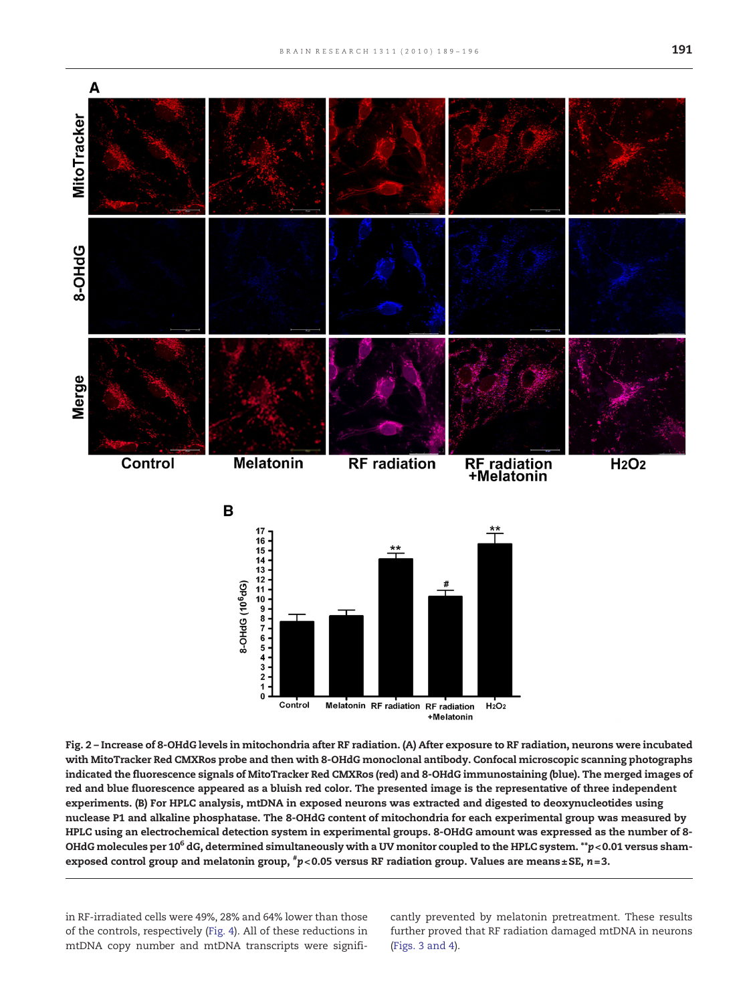<span id="page-2-0"></span>

Fig. 2 – Increase of 8-OHdG levels in mitochondria after RF radiation. (A) After exposure to RF radiation, neurons were incubated with MitoTracker Red CMXRos probe and then with 8-OHdG monoclonal antibody. Confocal microscopic scanning photographs indicated the fluorescence signals of MitoTracker Red CMXRos (red) and 8-OHdG immunostaining (blue). The merged images of red and blue fluorescence appeared as a bluish red color. The presented image is the representative of three independent experiments. (B) For HPLC analysis, mtDNA in exposed neurons was extracted and digested to deoxynucleotides using nuclease P1 and alkaline phosphatase. The 8-OHdG content of mitochondria for each experimental group was measured by HPLC using an electrochemical detection system in experimental groups. 8-OHdG amount was expressed as the number of 8- OHdG molecules per 10<sup>6</sup> dG, determined simultaneously with a UV monitor coupled to the HPLC system.  $*p$  < 0.01 versus shamexposed control group and melatonin group,  $^{\#}p\texttt{<}0.05$  versus RF radiation group. Values are means±SE, n=3.

in RF-irradiated cells were 49%, 28% and 64% lower than those of the controls, respectively ([Fig. 4](#page-3-0)). All of these reductions in mtDNA copy number and mtDNA transcripts were significantly prevented by melatonin pretreatment. These results further proved that RF radiation damaged mtDNA in neurons [\(Figs. 3 and 4\)](#page-3-0).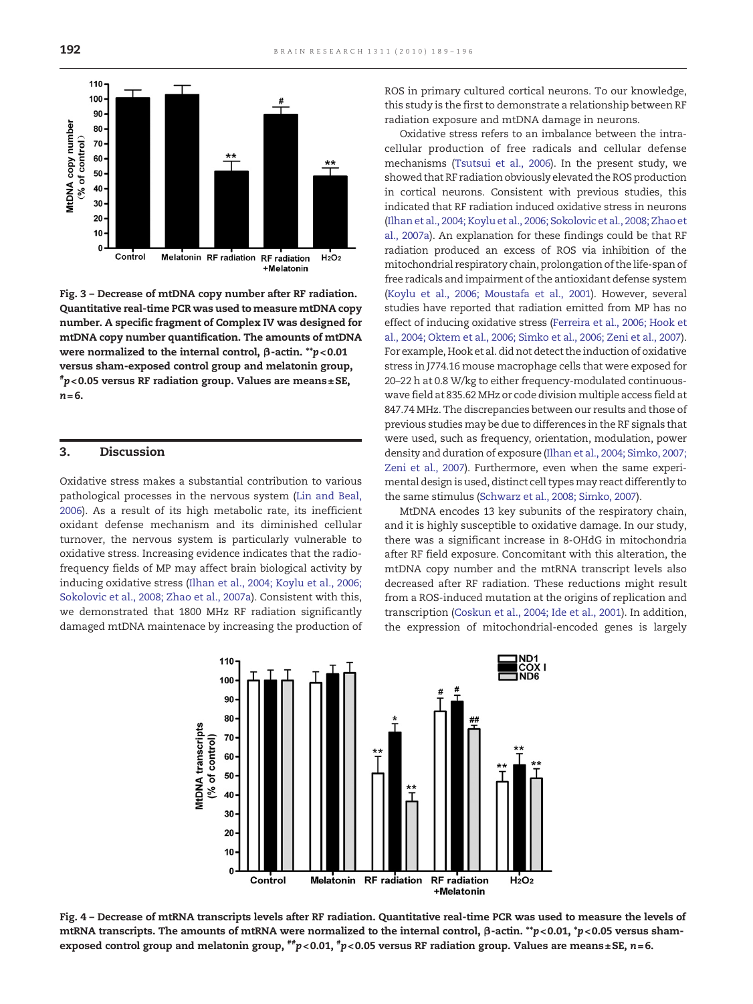<span id="page-3-0"></span>

Fig. 3 – Decrease of mtDNA copy number after RF radiation. Quantitative real-time PCR was used to measure mtDNA copy number. A specific fragment of Complex IV was designed for mtDNA copy number quantification. The amounts of mtDNA were normalized to the internal control, β-actin. \*\*p< 0.01 versus sham-exposed control group and melatonin group,  $^{*}p$ <0.05 versus RF radiation group. Values are means±SE,  $n = 6$ .

#### 3. Discussion

Oxidative stress makes a substantial contribution to various pathological processes in the nervous system [\(Lin and Beal,](#page-6-0) [2006\)](#page-6-0). As a result of its high metabolic rate, its inefficient oxidant defense mechanism and its diminished cellular turnover, the nervous system is particularly vulnerable to oxidative stress. Increasing evidence indicates that the radiofrequency fields of MP may affect brain biological activity by inducing oxidative stress ([Ilhan et al., 2004; Koylu et al., 2006;](#page-6-0) [Sokolovic et al., 2008; Zhao et al., 2007a\)](#page-6-0). Consistent with this, we demonstrated that 1800 MHz RF radiation significantly damaged mtDNA maintenace by increasing the production of ROS in primary cultured cortical neurons. To our knowledge, this study is the first to demonstrate a relationship between RF radiation exposure and mtDNA damage in neurons.

Oxidative stress refers to an imbalance between the intracellular production of free radicals and cellular defense mechanisms ([Tsutsui et al., 2006\)](#page-7-0). In the present study, we showed that RF radiation obviously elevated the ROS production in cortical neurons. Consistent with previous studies, this indicated that RF radiation induced oxidative stress in neurons ([Ilhan et al., 2004; Koylu et al., 2006; Sokolovic et al., 2008; Zhao et](#page-6-0) [al., 2007a\)](#page-6-0). An explanation for these findings could be that RF radiation produced an excess of ROS via inhibition of the mitochondrial respiratory chain, prolongation of the life-span of free radicals and impairment of the antioxidant defense system ([Koylu et al., 2006; Moustafa et al., 2001](#page-6-0)). However, several studies have reported that radiation emitted from MP has no effect of inducing oxidative stress ([Ferreira et al., 2006; Hook et](#page-6-0) [al., 2004; Oktem et al., 2006; Simko et al., 2006; Zeni et al., 2007\)](#page-6-0). For example, Hook et al. did not detect the induction of oxidative stress in J774.16 mouse macrophage cells that were exposed for 20–22 h at 0.8 W/kg to either frequency-modulated continuouswave field at 835.62 MHz or code division multiple access field at 847.74 MHz. The discrepancies between our results and those of previous studies may be due to differences in the RF signals that were used, such as frequency, orientation, modulation, power density and duration of exposure ([Ilhan et al., 2004; Simko, 2007;](#page-6-0) [Zeni et al., 2007](#page-6-0)). Furthermore, even when the same experimental design is used, distinct cell types may react differently to the same stimulus ([Schwarz et al., 2008; Simko, 2007](#page-7-0)).

MtDNA encodes 13 key subunits of the respiratory chain, and it is highly susceptible to oxidative damage. In our study, there was a significant increase in 8-OHdG in mitochondria after RF field exposure. Concomitant with this alteration, the mtDNA copy number and the mtRNA transcript levels also decreased after RF radiation. These reductions might result from a ROS-induced mutation at the origins of replication and transcription ([Coskun et al., 2004; Ide et al., 2001\)](#page-6-0). In addition, the expression of mitochondrial-encoded genes is largely



Fig. 4 – Decrease of mtRNA transcripts levels after RF radiation. Quantitative real-time PCR was used to measure the levels of mtRNA transcripts. The amounts of mtRNA were normalized to the internal control, β-actin. \*\*p< 0.01, \*p< 0.05 versus shamexposed control group and melatonin group,  $^{^{**}}p< 0.01, {^{^{*}}p< 0.05}$  versus RF radiation group. Values are means±SE, n=6.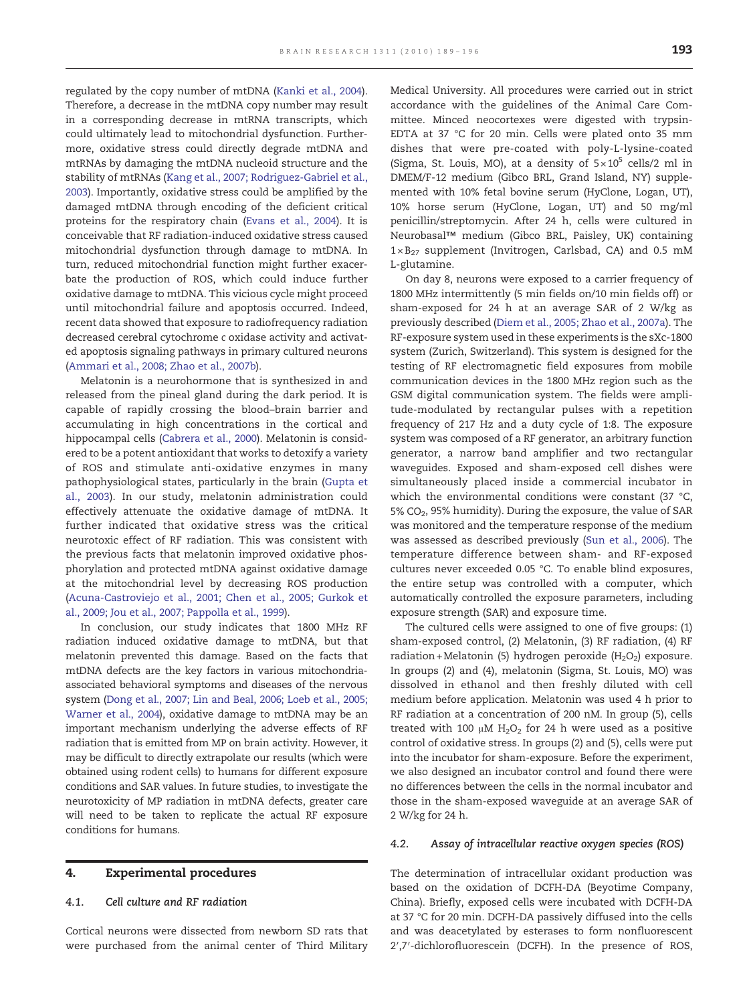regulated by the copy number of mtDNA ([Kanki et al., 2004](#page-6-0)). Therefore, a decrease in the mtDNA copy number may result in a corresponding decrease in mtRNA transcripts, which could ultimately lead to mitochondrial dysfunction. Furthermore, oxidative stress could directly degrade mtDNA and mtRNAs by damaging the mtDNA nucleoid structure and the stability of mtRNAs ([Kang et al., 2007; Rodriguez-Gabriel et al.,](#page-6-0) [2003](#page-6-0)). Importantly, oxidative stress could be amplified by the damaged mtDNA through encoding of the deficient critical proteins for the respiratory chain ([Evans et al., 2004](#page-6-0)). It is conceivable that RF radiation-induced oxidative stress caused mitochondrial dysfunction through damage to mtDNA. In turn, reduced mitochondrial function might further exacerbate the production of ROS, which could induce further oxidative damage to mtDNA. This vicious cycle might proceed until mitochondrial failure and apoptosis occurred. Indeed, recent data showed that exposure to radiofrequency radiation decreased cerebral cytochrome c oxidase activity and activated apoptosis signaling pathways in primary cultured neurons [\(Ammari et al., 2008; Zhao et al., 2007b](#page-6-0)).

Melatonin is a neurohormone that is synthesized in and released from the pineal gland during the dark period. It is capable of rapidly crossing the blood–brain barrier and accumulating in high concentrations in the cortical and hippocampal cells [\(Cabrera et al., 2000](#page-6-0)). Melatonin is considered to be a potent antioxidant that works to detoxify a variety of ROS and stimulate anti-oxidative enzymes in many pathophysiological states, particularly in the brain [\(Gupta et](#page-6-0) [al., 2003\)](#page-6-0). In our study, melatonin administration could effectively attenuate the oxidative damage of mtDNA. It further indicated that oxidative stress was the critical neurotoxic effect of RF radiation. This was consistent with the previous facts that melatonin improved oxidative phosphorylation and protected mtDNA against oxidative damage at the mitochondrial level by decreasing ROS production [\(Acuna-Castroviejo et al., 2001; Chen et al., 2005; Gurkok et](#page-6-0) [al., 2009; Jou et al., 2007; Pappolla et al., 1999\)](#page-6-0).

In conclusion, our study indicates that 1800 MHz RF radiation induced oxidative damage to mtDNA, but that melatonin prevented this damage. Based on the facts that mtDNA defects are the key factors in various mitochondriaassociated behavioral symptoms and diseases of the nervous system [\(Dong et al., 2007; Lin and Beal, 2006; Loeb et al., 2005;](#page-6-0) [Warner et al., 2004](#page-6-0)), oxidative damage to mtDNA may be an important mechanism underlying the adverse effects of RF radiation that is emitted from MP on brain activity. However, it may be difficult to directly extrapolate our results (which were obtained using rodent cells) to humans for different exposure conditions and SAR values. In future studies, to investigate the neurotoxicity of MP radiation in mtDNA defects, greater care will need to be taken to replicate the actual RF exposure conditions for humans.

#### 4. Experimental procedures

#### 4.1. Cell culture and RF radiation

Cortical neurons were dissected from newborn SD rats that were purchased from the animal center of Third Military

Medical University. All procedures were carried out in strict accordance with the guidelines of the Animal Care Committee. Minced neocortexes were digested with trypsin-EDTA at 37 °C for 20 min. Cells were plated onto 35 mm dishes that were pre-coated with poly-L-lysine-coated (Sigma, St. Louis, MO), at a density of  $5 \times 10^5$  cells/2 ml in DMEM/F-12 medium (Gibco BRL, Grand Island, NY) supplemented with 10% fetal bovine serum (HyClone, Logan, UT), 10% horse serum (HyClone, Logan, UT) and 50 mg/ml penicillin/streptomycin. After 24 h, cells were cultured in Neurobasal™ medium (Gibco BRL, Paisley, UK) containing  $1\times B_{27}$  supplement (Invitrogen, Carlsbad, CA) and 0.5 mM L-glutamine.

On day 8, neurons were exposed to a carrier frequency of 1800 MHz intermittently (5 min fields on/10 min fields off) or sham-exposed for 24 h at an average SAR of 2 W/kg as previously described ([Diem et al., 2005; Zhao et al., 2007a](#page-6-0)). The RF-exposure system used in these experiments is the sXc-1800 system (Zurich, Switzerland). This system is designed for the testing of RF electromagnetic field exposures from mobile communication devices in the 1800 MHz region such as the GSM digital communication system. The fields were amplitude-modulated by rectangular pulses with a repetition frequency of 217 Hz and a duty cycle of 1:8. The exposure system was composed of a RF generator, an arbitrary function generator, a narrow band amplifier and two rectangular waveguides. Exposed and sham-exposed cell dishes were simultaneously placed inside a commercial incubator in which the environmental conditions were constant (37 °C, 5% CO<sub>2</sub>, 95% humidity). During the exposure, the value of SAR was monitored and the temperature response of the medium was assessed as described previously ([Sun et al., 2006](#page-7-0)). The temperature difference between sham- and RF-exposed cultures never exceeded 0.05 °C. To enable blind exposures, the entire setup was controlled with a computer, which automatically controlled the exposure parameters, including exposure strength (SAR) and exposure time.

The cultured cells were assigned to one of five groups: (1) sham-exposed control, (2) Melatonin, (3) RF radiation, (4) RF radiation + Melatonin (5) hydrogen peroxide ( $H_2O_2$ ) exposure. In groups (2) and (4), melatonin (Sigma, St. Louis, MO) was dissolved in ethanol and then freshly diluted with cell medium before application. Melatonin was used 4 h prior to RF radiation at a concentration of 200 nM. In group (5), cells treated with 100  $\mu$ M H<sub>2</sub>O<sub>2</sub> for 24 h were used as a positive control of oxidative stress. In groups (2) and (5), cells were put into the incubator for sham-exposure. Before the experiment, we also designed an incubator control and found there were no differences between the cells in the normal incubator and those in the sham-exposed waveguide at an average SAR of 2 W/kg for 24 h.

#### 4.2. Assay of intracellular reactive oxygen species (ROS)

The determination of intracellular oxidant production was based on the oxidation of DCFH-DA (Beyotime Company, China). Briefly, exposed cells were incubated with DCFH-DA at 37 °C for 20 min. DCFH-DA passively diffused into the cells and was deacetylated by esterases to form nonfluorescent 2′,7′-dichlorofluorescein (DCFH). In the presence of ROS,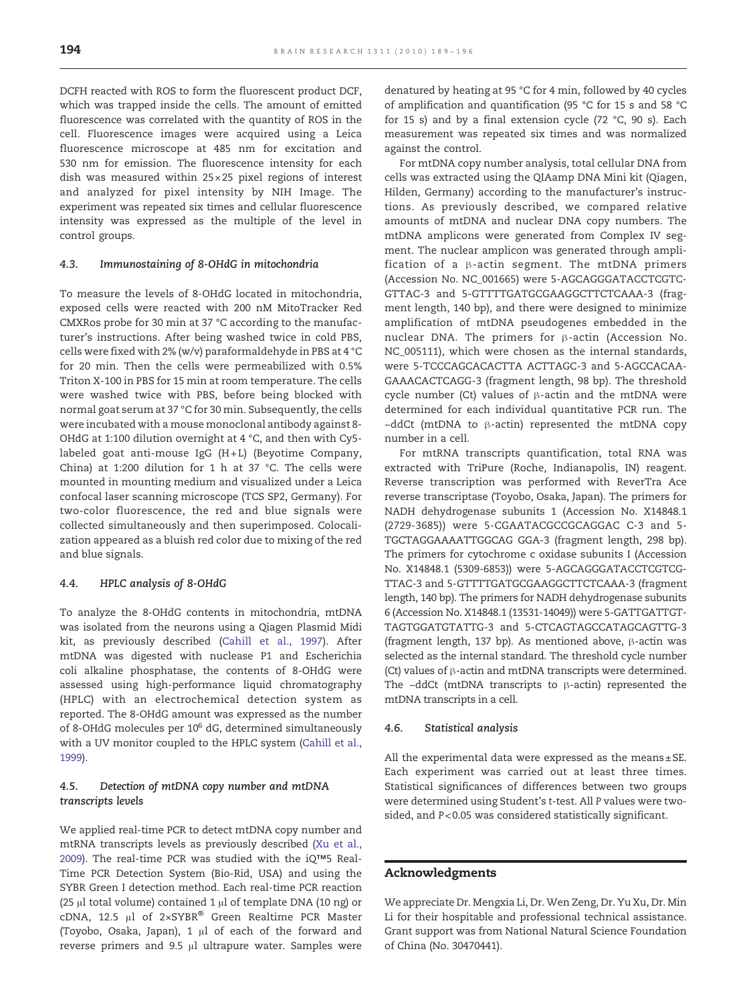DCFH reacted with ROS to form the fluorescent product DCF, which was trapped inside the cells. The amount of emitted fluorescence was correlated with the quantity of ROS in the cell. Fluorescence images were acquired using a Leica fluorescence microscope at 485 nm for excitation and 530 nm for emission. The fluorescence intensity for each dish was measured within 25 × 25 pixel regions of interest and analyzed for pixel intensity by NIH Image. The experiment was repeated six times and cellular fluorescence intensity was expressed as the multiple of the level in control groups.

#### 4.3. Immunostaining of 8-OHdG in mitochondria

To measure the levels of 8-OHdG located in mitochondria, exposed cells were reacted with 200 nM MitoTracker Red CMXRos probe for 30 min at 37 °C according to the manufacturer's instructions. After being washed twice in cold PBS, cells were fixed with 2% (w/v) paraformaldehyde in PBS at 4 °C for 20 min. Then the cells were permeabilized with 0.5% Triton X-100 in PBS for 15 min at room temperature. The cells were washed twice with PBS, before being blocked with normal goat serum at 37 °C for 30 min. Subsequently, the cells were incubated with a mouse monoclonal antibody against 8- OHdG at 1:100 dilution overnight at 4 °C, and then with Cy5 labeled goat anti-mouse IgG (H+L) (Beyotime Company, China) at 1:200 dilution for 1 h at 37 °C. The cells were mounted in mounting medium and visualized under a Leica confocal laser scanning microscope (TCS SP2, Germany). For two-color fluorescence, the red and blue signals were collected simultaneously and then superimposed. Colocalization appeared as a bluish red color due to mixing of the red and blue signals.

#### 4.4. HPLC analysis of 8-OHdG

To analyze the 8-OHdG contents in mitochondria, mtDNA was isolated from the neurons using a Qiagen Plasmid Midi kit, as previously described ([Cahill et al., 1997](#page-6-0)). After mtDNA was digested with nuclease P1 and Escherichia coli alkaline phosphatase, the contents of 8-OHdG were assessed using high-performance liquid chromatography (HPLC) with an electrochemical detection system as reported. The 8-OHdG amount was expressed as the number of 8-OHdG molecules per  $10^6$  dG, determined simultaneously with a UV monitor coupled to the HPLC system [\(Cahill et al.,](#page-6-0) [1999\)](#page-6-0).

#### 4.5. Detection of mtDNA copy number and mtDNA transcripts levels

We applied real-time PCR to detect mtDNA copy number and mtRNA transcripts levels as previously described ([Xu et al.,](#page-7-0) [2009\)](#page-7-0). The real-time PCR was studied with the iQ™5 Real-Time PCR Detection System (Bio-Rid, USA) and using the SYBR Green I detection method. Each real-time PCR reaction (25 μl total volume) contained 1 μl of template DNA (10 ng) or cDNA, 12.5 μl of 2×SYBR® Green Realtime PCR Master (Toyobo, Osaka, Japan), 1 μl of each of the forward and reverse primers and 9.5 μl ultrapure water. Samples were

denatured by heating at 95 °C for 4 min, followed by 40 cycles of amplification and quantification (95 °C for 15 s and 58 °C for 15 s) and by a final extension cycle (72 °C, 90 s). Each measurement was repeated six times and was normalized against the control.

For mtDNA copy number analysis, total cellular DNA from cells was extracted using the QIAamp DNA Mini kit (Qiagen, Hilden, Germany) according to the manufacturer's instructions. As previously described, we compared relative amounts of mtDNA and nuclear DNA copy numbers. The mtDNA amplicons were generated from Complex IV segment. The nuclear amplicon was generated through amplification of a β-actin segment. The mtDNA primers (Accession No. NC\_001665) were 5-AGCAGGGATACCTCGTC-GTTAC-3 and 5-GTTTTGATGCGAAGGCTTCTCAAA-3 (fragment length, 140 bp), and there were designed to minimize amplification of mtDNA pseudogenes embedded in the nuclear DNA. The primers for β-actin (Accession No. NC\_005111), which were chosen as the internal standards, were 5-TCCCAGCACACTTA ACTTAGC-3 and 5-AGCCACAA-GAAACACTCAGG-3 (fragment length, 98 bp). The threshold cycle number (Ct) values of β-actin and the mtDNA were determined for each individual quantitative PCR run. The −ddCt (mtDNA to β-actin) represented the mtDNA copy number in a cell.

For mtRNA transcripts quantification, total RNA was extracted with TriPure (Roche, Indianapolis, IN) reagent. Reverse transcription was performed with ReverTra Ace reverse transcriptase (Toyobo, Osaka, Japan). The primers for NADH dehydrogenase subunits 1 (Accession No. X14848.1 (2729-3685)) were 5-CGAATACGCCGCAGGAC C-3 and 5- TGCTAGGAAAATTGGCAG GGA-3 (fragment length, 298 bp). The primers for cytochrome c oxidase subunits I (Accession No. X14848.1 (5309-6853)) were 5-AGCAGGGATACCTCGTCG-TTAC-3 and 5-GTTTTGATGCGAAGGCTTCTCAAA-3 (fragment length, 140 bp). The primers for NADH dehydrogenase subunits 6 (Accession No. X14848.1 (13531-14049)) were 5-GATTGATTGT-TAGTGGATGTATTG-3 and 5-CTCAGTAGCCATAGCAGTTG-3 (fragment length, 137 bp). As mentioned above, β-actin was selected as the internal standard. The threshold cycle number (Ct) values of β-actin and mtDNA transcripts were determined. The −ddCt (mtDNA transcripts to β-actin) represented the mtDNA transcripts in a cell.

#### 4.6. Statistical analysis

All the experimental data were expressed as the means± SE. Each experiment was carried out at least three times. Statistical significances of differences between two groups were determined using Student's t-test. All P values were twosided, and P< 0.05 was considered statistically significant.

#### Acknowledgments

We appreciate Dr. Mengxia Li, Dr. Wen Zeng, Dr. Yu Xu, Dr. Min Li for their hospitable and professional technical assistance. Grant support was from National Natural Science Foundation of China (No. 30470441).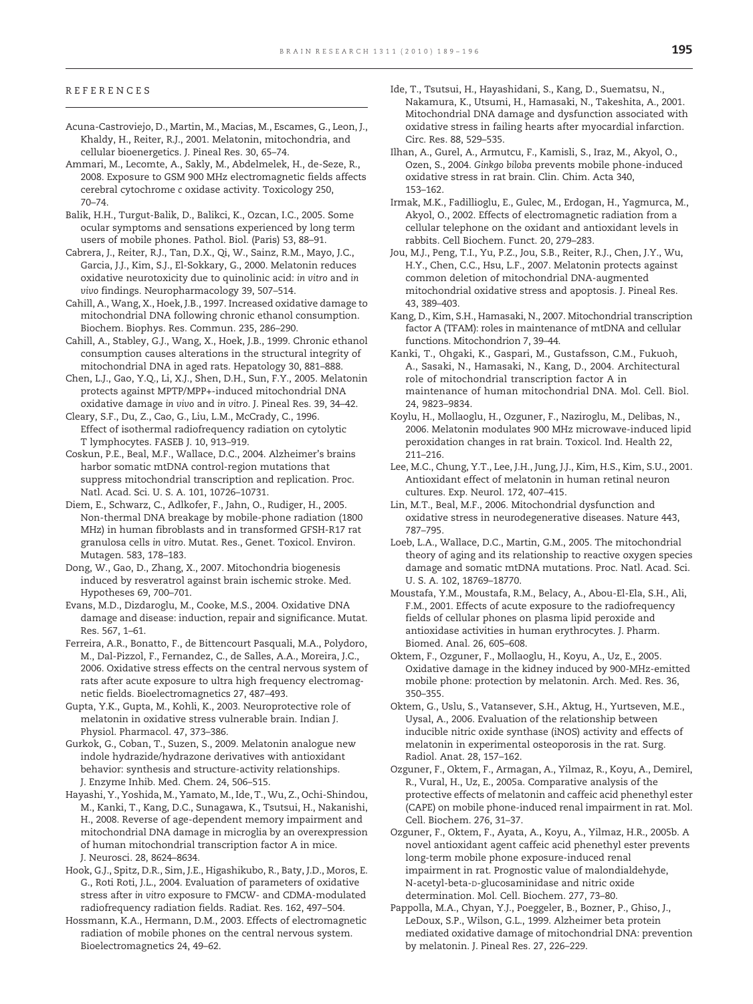#### <span id="page-6-0"></span>REFERENCES

- Acuna-Castroviejo, D., Martin, M., Macias, M., Escames, G., Leon, J., Khaldy, H., Reiter, R.J., 2001. Melatonin, mitochondria, and cellular bioenergetics. J. Pineal Res. 30, 65–74.
- Ammari, M., Lecomte, A., Sakly, M., Abdelmelek, H., de-Seze, R., 2008. Exposure to GSM 900 MHz electromagnetic fields affects cerebral cytochrome c oxidase activity. Toxicology 250, 70–74.
- Balik, H.H., Turgut-Balik, D., Balikci, K., Ozcan, I.C., 2005. Some ocular symptoms and sensations experienced by long term users of mobile phones. Pathol. Biol. (Paris) 53, 88–91.
- Cabrera, J., Reiter, R.J., Tan, D.X., Qi, W., Sainz, R.M., Mayo, J.C., Garcia, J.J., Kim, S.J., El-Sokkary, G., 2000. Melatonin reduces oxidative neurotoxicity due to quinolinic acid: in vitro and in vivo findings. Neuropharmacology 39, 507–514.
- Cahill, A., Wang, X., Hoek, J.B., 1997. Increased oxidative damage to mitochondrial DNA following chronic ethanol consumption. Biochem. Biophys. Res. Commun. 235, 286–290.
- Cahill, A., Stabley, G.J., Wang, X., Hoek, J.B., 1999. Chronic ethanol consumption causes alterations in the structural integrity of mitochondrial DNA in aged rats. Hepatology 30, 881–888.
- Chen, L.J., Gao, Y.Q., Li, X.J., Shen, D.H., Sun, F.Y., 2005. Melatonin protects against MPTP/MPP+-induced mitochondrial DNA oxidative damage in vivo and in vitro. J. Pineal Res. 39, 34–42.
- Cleary, S.F., Du, Z., Cao, G., Liu, L.M., McCrady, C., 1996. Effect of isothermal radiofrequency radiation on cytolytic T lymphocytes. FASEB J. 10, 913–919.
- Coskun, P.E., Beal, M.F., Wallace, D.C., 2004. Alzheimer's brains harbor somatic mtDNA control-region mutations that suppress mitochondrial transcription and replication. Proc. Natl. Acad. Sci. U. S. A. 101, 10726–10731.
- Diem, E., Schwarz, C., Adlkofer, F., Jahn, O., Rudiger, H., 2005. Non-thermal DNA breakage by mobile-phone radiation (1800 MHz) in human fibroblasts and in transformed GFSH-R17 rat granulosa cells in vitro. Mutat. Res., Genet. Toxicol. Environ. Mutagen. 583, 178–183.
- Dong, W., Gao, D., Zhang, X., 2007. Mitochondria biogenesis induced by resveratrol against brain ischemic stroke. Med. Hypotheses 69, 700–701.
- Evans, M.D., Dizdaroglu, M., Cooke, M.S., 2004. Oxidative DNA damage and disease: induction, repair and significance. Mutat. Res. 567, 1–61.
- Ferreira, A.R., Bonatto, F., de Bittencourt Pasquali, M.A., Polydoro, M., Dal-Pizzol, F., Fernandez, C., de Salles, A.A., Moreira, J.C., 2006. Oxidative stress effects on the central nervous system of rats after acute exposure to ultra high frequency electromagnetic fields. Bioelectromagnetics 27, 487–493.
- Gupta, Y.K., Gupta, M., Kohli, K., 2003. Neuroprotective role of melatonin in oxidative stress vulnerable brain. Indian J. Physiol. Pharmacol. 47, 373–386.
- Gurkok, G., Coban, T., Suzen, S., 2009. Melatonin analogue new indole hydrazide/hydrazone derivatives with antioxidant behavior: synthesis and structure-activity relationships. J. Enzyme Inhib. Med. Chem. 24, 506–515.
- Hayashi, Y., Yoshida, M., Yamato, M., Ide, T., Wu, Z., Ochi-Shindou, M., Kanki, T., Kang, D.C., Sunagawa, K., Tsutsui, H., Nakanishi, H., 2008. Reverse of age-dependent memory impairment and mitochondrial DNA damage in microglia by an overexpression of human mitochondrial transcription factor A in mice. J. Neurosci. 28, 8624–8634.
- Hook, G.J., Spitz, D.R., Sim, J.E., Higashikubo, R., Baty, J.D., Moros, E. G., Roti Roti, J.L., 2004. Evaluation of parameters of oxidative stress after in vitro exposure to FMCW- and CDMA-modulated radiofrequency radiation fields. Radiat. Res. 162, 497–504.
- Hossmann, K.A., Hermann, D.M., 2003. Effects of electromagnetic radiation of mobile phones on the central nervous system. Bioelectromagnetics 24, 49–62.
- Ide, T., Tsutsui, H., Hayashidani, S., Kang, D., Suematsu, N., Nakamura, K., Utsumi, H., Hamasaki, N., Takeshita, A., 2001. Mitochondrial DNA damage and dysfunction associated with oxidative stress in failing hearts after myocardial infarction. Circ. Res. 88, 529–535.
- Ilhan, A., Gurel, A., Armutcu, F., Kamisli, S., Iraz, M., Akyol, O., Ozen, S., 2004. Ginkgo biloba prevents mobile phone-induced oxidative stress in rat brain. Clin. Chim. Acta 340, 153–162.
- Irmak, M.K., Fadillioglu, E., Gulec, M., Erdogan, H., Yagmurca, M., Akyol, O., 2002. Effects of electromagnetic radiation from a cellular telephone on the oxidant and antioxidant levels in rabbits. Cell Biochem. Funct. 20, 279–283.
- Jou, M.J., Peng, T.I., Yu, P.Z., Jou, S.B., Reiter, R.J., Chen, J.Y., Wu, H.Y., Chen, C.C., Hsu, L.F., 2007. Melatonin protects against common deletion of mitochondrial DNA-augmented mitochondrial oxidative stress and apoptosis. J. Pineal Res. 43, 389–403.
- Kang, D., Kim, S.H., Hamasaki, N., 2007. Mitochondrial transcription factor A (TFAM): roles in maintenance of mtDNA and cellular functions. Mitochondrion 7, 39–44.
- Kanki, T., Ohgaki, K., Gaspari, M., Gustafsson, C.M., Fukuoh, A., Sasaki, N., Hamasaki, N., Kang, D., 2004. Architectural role of mitochondrial transcription factor A in maintenance of human mitochondrial DNA. Mol. Cell. Biol. 24, 9823–9834.
- Koylu, H., Mollaoglu, H., Ozguner, F., Naziroglu, M., Delibas, N., 2006. Melatonin modulates 900 MHz microwave-induced lipid peroxidation changes in rat brain. Toxicol. Ind. Health 22, 211–216.
- Lee, M.C., Chung, Y.T., Lee, J.H., Jung, J.J., Kim, H.S., Kim, S.U., 2001. Antioxidant effect of melatonin in human retinal neuron cultures. Exp. Neurol. 172, 407–415.
- Lin, M.T., Beal, M.F., 2006. Mitochondrial dysfunction and oxidative stress in neurodegenerative diseases. Nature 443, 787–795.
- Loeb, L.A., Wallace, D.C., Martin, G.M., 2005. The mitochondrial theory of aging and its relationship to reactive oxygen species damage and somatic mtDNA mutations. Proc. Natl. Acad. Sci. U. S. A. 102, 18769–18770.
- Moustafa, Y.M., Moustafa, R.M., Belacy, A., Abou-El-Ela, S.H., Ali, F.M., 2001. Effects of acute exposure to the radiofrequency fields of cellular phones on plasma lipid peroxide and antioxidase activities in human erythrocytes. J. Pharm. Biomed. Anal. 26, 605–608.
- Oktem, F., Ozguner, F., Mollaoglu, H., Koyu, A., Uz, E., 2005. Oxidative damage in the kidney induced by 900-MHz-emitted mobile phone: protection by melatonin. Arch. Med. Res. 36, 350–355.
- Oktem, G., Uslu, S., Vatansever, S.H., Aktug, H., Yurtseven, M.E., Uysal, A., 2006. Evaluation of the relationship between inducible nitric oxide synthase (iNOS) activity and effects of melatonin in experimental osteoporosis in the rat. Surg. Radiol. Anat. 28, 157–162.
- Ozguner, F., Oktem, F., Armagan, A., Yilmaz, R., Koyu, A., Demirel, R., Vural, H., Uz, E., 2005a. Comparative analysis of the protective effects of melatonin and caffeic acid phenethyl ester (CAPE) on mobile phone-induced renal impairment in rat. Mol. Cell. Biochem. 276, 31–37.
- Ozguner, F., Oktem, F., Ayata, A., Koyu, A., Yilmaz, H.R., 2005b. A novel antioxidant agent caffeic acid phenethyl ester prevents long-term mobile phone exposure-induced renal impairment in rat. Prognostic value of malondialdehyde, N-acetyl-beta-D-glucosaminidase and nitric oxide determination. Mol. Cell. Biochem. 277, 73–80.
- Pappolla, M.A., Chyan, Y.J., Poeggeler, B., Bozner, P., Ghiso, J., LeDoux, S.P., Wilson, G.L., 1999. Alzheimer beta protein mediated oxidative damage of mitochondrial DNA: prevention by melatonin. J. Pineal Res. 27, 226–229.